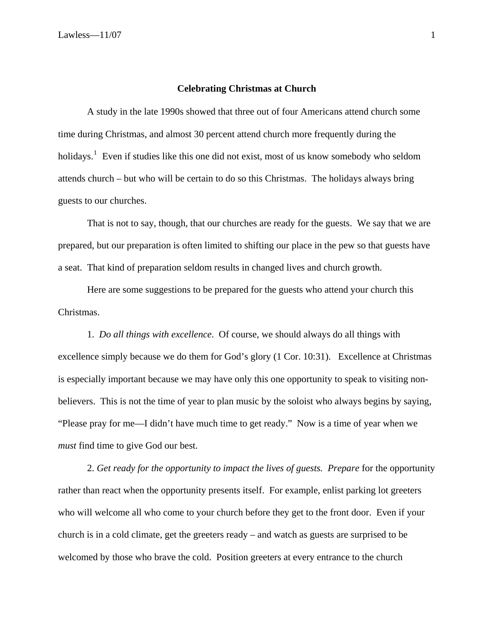## **Celebrating Christmas at Church**

A study in the late 1990s showed that three out of four Americans attend church some time during Christmas, and almost 30 percent attend church more frequently during the holidays.<sup>[1](#page-2-0)</sup> Even if studies like this one did not exist, most of us know somebody who seldom attends church – but who will be certain to do so this Christmas. The holidays always bring guests to our churches.

That is not to say, though, that our churches are ready for the guests. We say that we are prepared, but our preparation is often limited to shifting our place in the pew so that guests have a seat. That kind of preparation seldom results in changed lives and church growth.

Here are some suggestions to be prepared for the guests who attend your church this Christmas.

1. *Do all things with excellence*. Of course, we should always do all things with excellence simply because we do them for God's glory (1 Cor. 10:31). Excellence at Christmas is especially important because we may have only this one opportunity to speak to visiting nonbelievers. This is not the time of year to plan music by the soloist who always begins by saying, "Please pray for me—I didn't have much time to get ready." Now is a time of year when we *must* find time to give God our best.

2. *Get ready for the opportunity to impact the lives of guests. Prepare* for the opportunity rather than react when the opportunity presents itself. For example, enlist parking lot greeters who will welcome all who come to your church before they get to the front door. Even if your church is in a cold climate, get the greeters ready – and watch as guests are surprised to be welcomed by those who brave the cold. Position greeters at every entrance to the church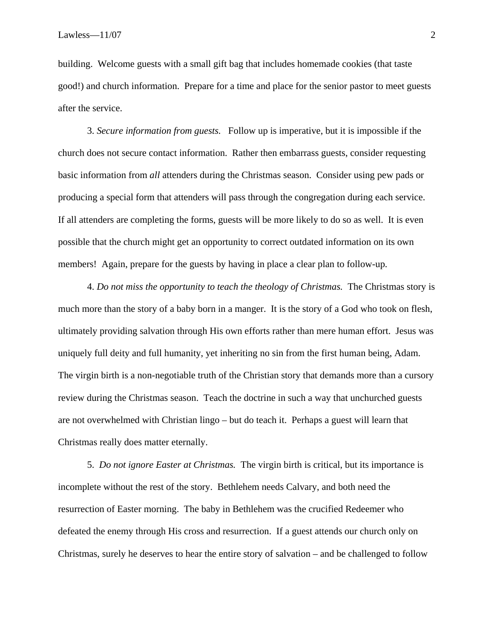building. Welcome guests with a small gift bag that includes homemade cookies (that taste good!) and church information. Prepare for a time and place for the senior pastor to meet guests after the service.

3. *Secure information from guests.* Follow up is imperative, but it is impossible if the church does not secure contact information. Rather then embarrass guests, consider requesting basic information from *all* attenders during the Christmas season. Consider using pew pads or producing a special form that attenders will pass through the congregation during each service. If all attenders are completing the forms, guests will be more likely to do so as well. It is even possible that the church might get an opportunity to correct outdated information on its own members! Again, prepare for the guests by having in place a clear plan to follow-up.

4. *Do not miss the opportunity to teach the theology of Christmas.* The Christmas story is much more than the story of a baby born in a manger. It is the story of a God who took on flesh, ultimately providing salvation through His own efforts rather than mere human effort. Jesus was uniquely full deity and full humanity, yet inheriting no sin from the first human being, Adam. The virgin birth is a non-negotiable truth of the Christian story that demands more than a cursory review during the Christmas season. Teach the doctrine in such a way that unchurched guests are not overwhelmed with Christian lingo – but do teach it. Perhaps a guest will learn that Christmas really does matter eternally.

5. *Do not ignore Easter at Christmas.* The virgin birth is critical, but its importance is incomplete without the rest of the story. Bethlehem needs Calvary, and both need the resurrection of Easter morning. The baby in Bethlehem was the crucified Redeemer who defeated the enemy through His cross and resurrection. If a guest attends our church only on Christmas, surely he deserves to hear the entire story of salvation – and be challenged to follow